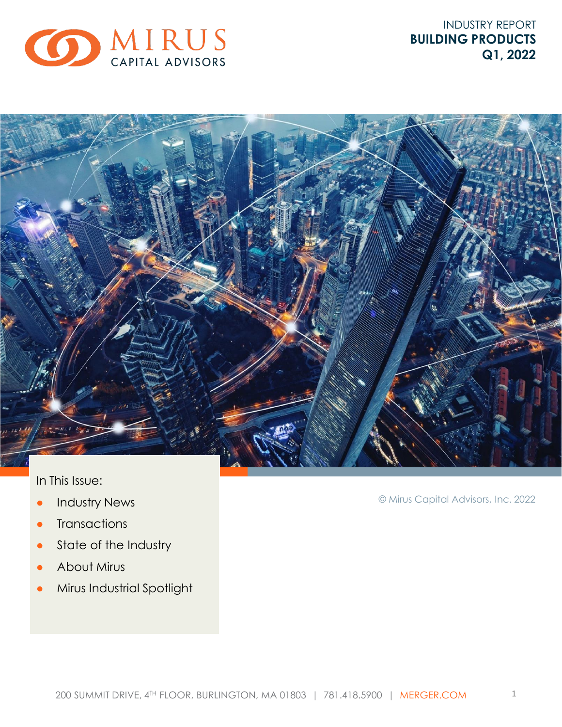

INDUSTRY REPORT **BUILDING PRODUCTS Q1, 2022**



### In This Issue:

- **•** Industry News
- Transactions
- State of the Industry
- About Mirus
- Mirus Industrial Spotlight

© Mirus Capital Advisors, Inc. 2022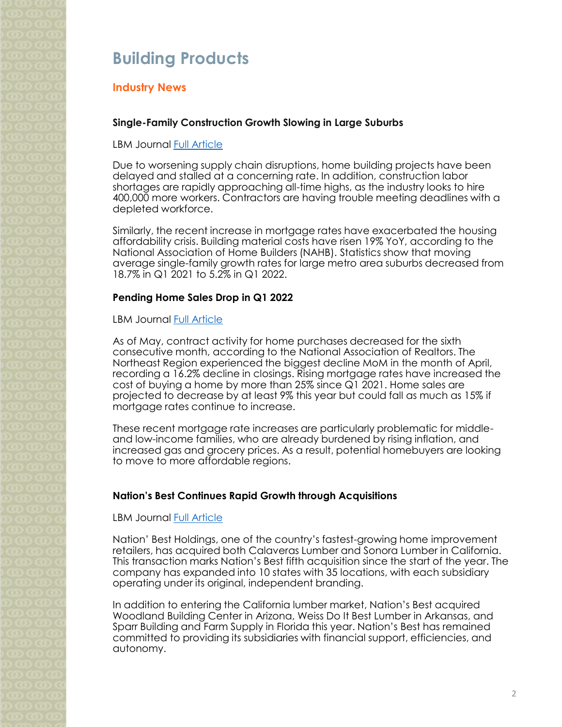## **Building Products**

### **Industry News**

### **Single-Family Construction Growth Slowing in Large Suburbs**

LBM Journal [Full Article](https://lbmjournal.com/single-family-construction-growth-slowing-in-large-suburbs/)

Due to worsening supply chain disruptions, home building projects have been delayed and stalled at a concerning rate. In addition, construction labor shortages are rapidly approaching all-time highs, as the industry looks to hire 400,000 more workers. Contractors are having trouble meeting deadlines with a depleted workforce.

Similarly, the recent increase in mortgage rates have exacerbated the housing affordability crisis. Building material costs have risen 19% YoY, according to the National Association of Home Builders (NAHB). Statistics show that moving average single-family growth rates for large metro area suburbs decreased from 18.7% in Q1 2021 to 5.2% in Q1 2022.

### **Pending Home Sales Drop in Q1 2022**

LBM Journal [Full Article](https://lbmjournal.com/pending-home-sales-drop-in-april/)

As of May, contract activity for home purchases decreased for the sixth consecutive month, according to the National Association of Realtors. The Northeast Region experienced the biggest decline MoM in the month of April, recording a 16.2% decline in closings. Rising mortgage rates have increased the cost of buying a home by more than 25% since Q1 2021. Home sales are projected to decrease by at least 9% this year but could fall as much as 15% if mortgage rates continue to increase.

These recent mortgage rate increases are particularly problematic for middleand low-income families, who are already burdened by rising inflation, and increased gas and grocery prices. As a result, potential homebuyers are looking to move to more affordable regions.

### **Nation's Best Continues Rapid Growth through Acquisitions**

LBM Journal [Full Article](https://lbmjournal.com/nations-best-acquires-calaveras-lumber-and-sonora-lumber/)

Nation' Best Holdings, one of the country's fastest-growing home improvement retailers, has acquired both Calaveras Lumber and Sonora Lumber in California. This transaction marks Nation's Best fifth acquisition since the start of the year. The company has expanded into 10 states with 35 locations, with each subsidiary operating under its original, independent branding.

In addition to entering the California lumber market, Nation's Best acquired Woodland Building Center in Arizona, Weiss Do It Best Lumber in Arkansas, and Sparr Building and Farm Supply in Florida this year. Nation's Best has remained committed to providing its subsidiaries with financial support, efficiencies, and autonomy.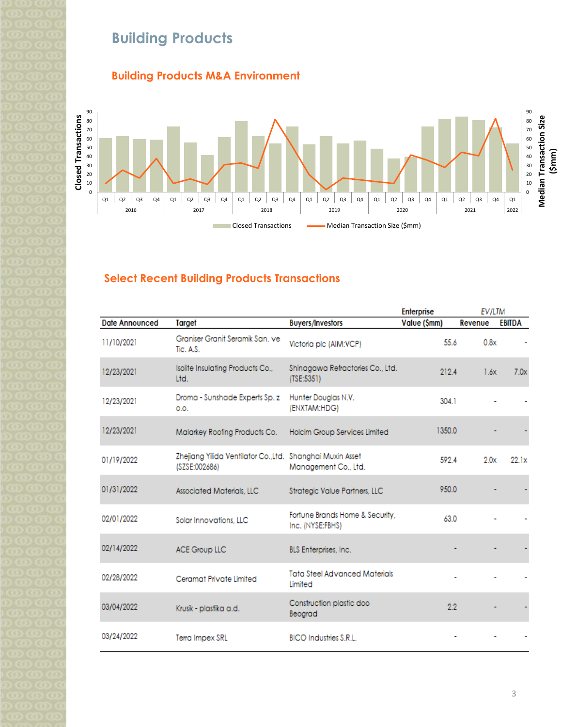# **Building Products**

### **Building Products M&A Environment**



### **Select Recent Building Products Transactions**

|                       |                                                                            |                                                     | <b>Enterprise</b> | <b>EV/LTM</b> |               |
|-----------------------|----------------------------------------------------------------------------|-----------------------------------------------------|-------------------|---------------|---------------|
| <b>Date Announced</b> | Target                                                                     | <b>Buyers/Investors</b>                             | Value (\$mm)      | Revenue       | <b>EBITDA</b> |
| 11/10/2021            | Graniser Granit Seramik San, ve<br>Tic. A.S.                               | Victoria plc (AIM:VCP)                              | 55.6              | 0.8x          |               |
| 12/23/2021            | Isolite Insulating Products Co.,<br>Ltd.                                   | Shinagawa Refractories Co., Ltd.<br>(TSE:5351)      | 212.4             | 1.6x          | 7.0x          |
| 12/23/2021            | Droma - Sunshade Experts Sp. z<br>O.O.                                     | Hunter Douglas N.V.<br>(ENXTAM:HDG)                 | 304.1             |               |               |
| 12/23/2021            | Malarkey Roofing Products Co.                                              | Holcim Group Services Limited                       | 1350.0            |               |               |
| 01/19/2022            | Zhejiang Yilida Ventilator Co., Ltd. Shanghai Muxin Asset<br>(SZSE:002686) | Management Co., Ltd.                                | 592.4             | 2.0x          | 22.1x         |
| 01/31/2022            | <b>Associated Materials, LLC</b>                                           | Strategic Value Partners, LLC                       | 950.0             |               |               |
| 02/01/2022            | Solar Innovations, LLC                                                     | Fortune Brands Home & Security,<br>Inc. (NYSE:FBHS) | 63.0              |               |               |
| 02/14/2022            | <b>ACE Group LLC</b>                                                       | <b>BLS</b> Enterprises, Inc.                        |                   |               |               |
| 02/28/2022            | Ceramat Private Limited                                                    | <b>Tata Steel Advanced Materials</b><br>Limited     |                   |               |               |
| 03/04/2022            | Krusik - plastika a.d.                                                     | Construction plastic doo<br>Beograd                 | 2.2               |               |               |
| 03/24/2022            | Terra Impex SRL                                                            | <b>BICO Industries S.R.L.</b>                       |                   |               |               |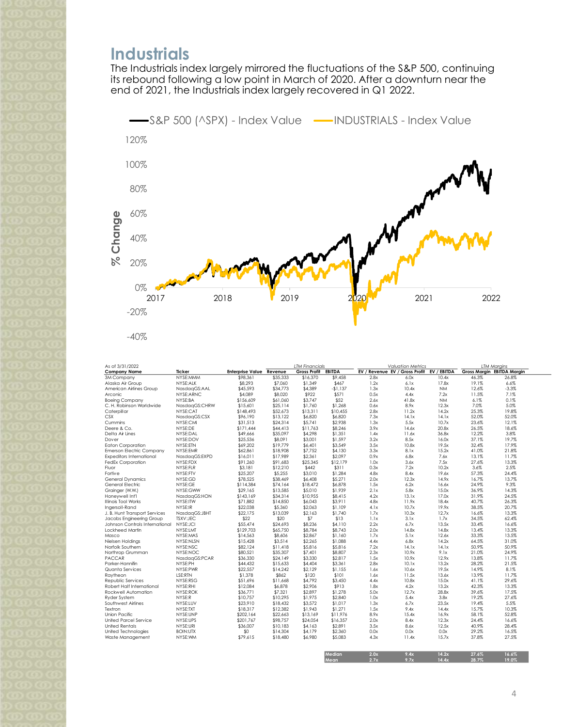## **Industrials**

The Industrials index largely mirrored the fluctuations of the S&P 500, continuing its rebound following a low point in March of 2020. After a downturn near the end of 2021, the Industrials index largely recovered in Q1 2022.



| As of 3/31/2022                 |                 |                                 | <b>LTM Financials</b> |                     | <b>Valuation Metrics</b> |      | <b>LTM Margins</b>                         |           |       |                            |
|---------------------------------|-----------------|---------------------------------|-----------------------|---------------------|--------------------------|------|--------------------------------------------|-----------|-------|----------------------------|
| <b>Company Name</b>             | Ticker          | <b>Enterprise Value Revenue</b> |                       | <b>Gross Profit</b> | EBITDA                   |      | EV / Revenue EV / Gross Profit EV / EBITDA |           |       | Gross Margin EBITDA Margin |
| 3M Company                      | NYSE:MMM        | \$98,361                        | \$35,333              | \$16,370            | \$9,458                  | 2.8x | 6.0x                                       | 10.4x     | 46.3% | 26.8%                      |
| Alaska Air Group                | NYSE:ALK        | \$8,293                         | \$7,060               | \$1,349             | \$467                    | 1.2x | 6.1x                                       | 17.8x     | 19.1% | 6.6%                       |
| American Airlines Group         | NasdaqGS:AAL    | \$45,593                        | \$34,773              | \$4,389             | $-$1,137$                | 1.3x | 10.4x                                      | <b>NM</b> | 12.6% | $-3.3%$                    |
| Arconic                         | NYSE:ARNC       | \$4,089                         | \$8,020               | \$922               | \$571                    | 0.5x | 4.4x                                       | 7.2x      | 11.5% | 7.1%                       |
| <b>Boeing Company</b>           | NYSE:BA         | \$156,609                       | \$61,060              | \$3,747             | \$52                     | 2.6x | 41.8x                                      | <b>NM</b> | 6.1%  | 0.1%                       |
| C. H. Robinson Worldwide        | NasdagGS:CHRW   | \$15,601                        | \$25,114              | \$1,760             | \$1,268                  | 0.6x | 8.9x                                       | 12.3x     | 7.0%  | 5.0%                       |
| Caterpillar                     | NYSE:CAT        | \$148,493                       | \$52,673              | \$13,311            | \$10,455                 | 2.8x | 11.2x                                      | 14.2x     | 25.3% | 19.8%                      |
| <b>CSX</b>                      | NasdagGS:CSX    | \$96.190                        | \$13.122              | \$6,820             | \$6,820                  | 7.3x | 14.1x                                      | 14.1x     | 52.0% | 52.0%                      |
| Cummins                         | NYSE:CMI        | \$31.513                        | \$24.314              | \$5.741             | \$2.938                  | 1.3x | 5.5x                                       | 10.7x     | 23.6% | 12.1%                      |
| Deere & Co.                     | NYSE:DE         | \$171,444                       | \$44,413              | \$11,763            | \$8,246                  | 3.9x | 14.6x                                      | 20.8x     | 26.5% | 18.6%                      |
| Delta Air Lines                 | NYSE:DAL        | \$49,666                        | \$35,097              | \$4,298             | \$1,351                  | 1.4x | 11.6x                                      | 36.8x     | 12.2% | 3.8%                       |
| Dover                           | NYSE:DOV        | \$25,536                        | \$8,091               | \$3,001             | \$1,597                  | 3.2x | 8.5x                                       | 16.0x     | 37.1% | 19.7%                      |
| <b>Eaton Corporation</b>        | NYSE:ETN        | \$69,202                        | \$19,779              | \$6,401             | \$3.549                  | 3.5x | 10.8x                                      | 19.5x     | 32.4% | 17.9%                      |
| <b>Emerson Electric Company</b> | NYSE:EMR        | \$62,861                        | \$18,908              | \$7,752             | \$4,130                  | 3.3x | 8.1x                                       | 15.2x     | 41.0% | 21.8%                      |
| <b>Expeditors International</b> | NasdagGS:EXPD   | \$16,011                        | \$17,989              | \$2,361             | \$2,097                  | 0.9x | 6.8x                                       | 7.6x      | 13.1% | 11.7%                      |
| FedEx Corporation               | NYSE:FDX        | \$91,260                        | \$91.683              | \$25,345            | \$12,179                 | 1.0x | 3.6x                                       | 7.5x      | 27.6% | 13.3%                      |
| Fluor                           | NYSE:FLR        | \$3,181                         | \$12,210              | \$442               | \$311                    | 0.3x | 7.2x                                       | 10.2x     | 3.6%  | 2.5%                       |
| Fortiv e                        | NYSE:FTV        | \$25,207                        | \$5,255               | \$3,010             | \$1,284                  | 4.8x | 8.4x                                       | 19.6x     | 57.3% | 24.4%                      |
| <b>General Dynamics</b>         | NYSE:GD         | \$78,525                        | \$38,469              | \$6,408             | \$5,271                  | 2.0x | 12.3x                                      | 14.9x     | 16.7% | 13.7%                      |
|                                 | NYSE:GE         |                                 |                       |                     |                          | 1.5x | 6.2x                                       | 16.6x     | 24.9% | 9.3%                       |
| General Electric                |                 | \$114,384                       | \$74,164              | \$18,472            | \$6,878                  |      |                                            |           |       |                            |
| Grainger (W.W.)                 | NYSE:GWW        | \$29,165                        | \$13,585              | \$5,010             | \$1,939                  | 2.1x | 5.8x                                       | 15.0x     | 36.9% | 14.3%                      |
| Honeywell Int'l                 | NasdagGS:HON    | \$143,169                       | \$34,314              | \$10,955            | \$8,415                  | 4.2x | 13.1x                                      | 17.0x     | 31.9% | 24.5%                      |
| Illinois Tool Works             | NYSE:ITW        | \$71,882                        | \$14,850              | \$6,043             | \$3,911                  | 4.8x | 11.9x                                      | 18.4x     | 40.7% | 26.3%                      |
| Ingersoll-Rand                  | NYSE:IR         | \$22,038                        | \$5,360               | \$2,063             | \$1,109                  | 4.1x | 10.7x                                      | 19.9x     | 38.5% | 20.7%                      |
| J. B. Hunt Transport Services   | NasdagGS:JBHT   | \$22,175                        | \$13,039              | \$2,163             | \$1,740                  | 1.7x | 10.3x                                      | 12.7x     | 16.6% | 13.3%                      |
| Jacobs Engineering Group        | TSXV:JEC        | \$22                            | \$20                  | \$7                 | \$13                     | 1.1x | 3.1x                                       | 1.7x      | 34.5% | 62.4%                      |
| Johnson Controls International  | NYSE:JCI        | \$55,474                        | \$24,693              | \$8,236             | \$4,110                  | 2.2x | 6.7x                                       | 13.5x     | 33.4% | 16.6%                      |
| Lockheed Martin                 | NYSE:LMT        | \$129,703                       | \$65,750              | \$8.784             | \$8.743                  | 2.0x | 14.8x                                      | 14.8x     | 13.4% | 13.3%                      |
| Masco                           | NYSE:MAS        | \$14,563                        | \$8,606               | \$2,867             | \$1,160                  | 1.7x | 5.1x                                       | 12.6x     | 33.3% | 13.5%                      |
| Nielsen Holdings                | NYSE:NLSN       | \$15,428                        | \$3,514               | \$2,265             | \$1,088                  | 4.4x | 6.8x                                       | 14.2x     | 64.5% | 31.0%                      |
| Norfolk Southern                | NYSE:NSC        | \$82,124                        | \$11,418              | \$5,816             | \$5,816                  | 7.2x | 14.1x                                      | 14.1x     | 50.9% | 50.9%                      |
| Northrop Grumman                | NYSE:NOC        | \$80,521                        | \$35,307              | \$7,401             | \$8,807                  | 2.3x | 10.9x                                      | 9.1x      | 21.0% | 24.9%                      |
| <b>PACCAR</b>                   | NasdagGS:PCAR   | \$36,330                        | \$24.149              | \$3,330             | \$2,817                  | 1.5x | 10.9x                                      | 12.9x     | 13.8% | 11.7%                      |
| Parker-Hannifin                 | NYSE:PH         | \$44,432                        | \$15,633              | \$4,404             | \$3,361                  | 2.8x | 10.1x                                      | 13.2x     | 28.2% | 21.5%                      |
| Quanta Services                 | NYSE:PWR        | \$22,557                        | \$14.242              | \$2,129             | \$1,155                  | 1.6x | 10.6x                                      | 19.5x     | 14.9% | 8.1%                       |
| Raytheon                        | LSE:RTN         | \$1,378                         | \$862                 | \$120               | \$101                    | 1.6x | 11.5x                                      | 13.6x     | 13.9% | 11.7%                      |
| Republic Services               | NYSE:RSG        | \$51,696                        | \$11,668              | \$4,792             | \$3,450                  | 4.4x | 10.8x                                      | 15.0x     | 41.1% | 29.6%                      |
| Robert Half International       | NYSE:RHI        | \$12,084                        | \$6,878               | \$2,906             | \$913                    | 1.8x | 4.2x                                       | 13.2x     | 42.3% | 13.3%                      |
| Rockwell Automation             | NYSE:ROK        | \$36,771                        | \$7,321               | \$2,897             | \$1,278                  | 5.0x | 12.7x                                      | 28.8x     | 39.6% | 17.5%                      |
| <b>Ryder System</b>             | NYSE:R          | \$10,757                        | \$10,295              | \$1,975             | \$2,840                  | 1.0x | 5.4x                                       | 3.8x      | 19.2% | 27.6%                      |
| Southwest Airlines              | NYSE:LUV        | \$23,910                        | \$18,432              | \$3,572             | \$1,017                  | 1.3x | 6.7x                                       | 23.5x     | 19.4% | 5.5%                       |
| Textron                         | NYSE:TXT        | \$18,317                        | \$12,382              | \$1,943             | \$1,271                  | 1.5x | 9.4x                                       | 14.4x     | 15.7% | 10.3%                      |
| <b>Union Pacific</b>            | NYSE:UNP        | \$202,164                       | \$22,663              | \$13,169            | \$11,976                 | 8.9x | 15.4x                                      | 16.9x     | 58.1% | 52.8%                      |
| United Parcel Service           | NYSE:UPS        | \$201,767                       | \$98,757              | \$24,054            | \$16,357                 | 2.0x | 8.4x                                       | 12.3x     | 24.4% | 16.6%                      |
| <b>United Rentals</b>           | NYSE:URI        | \$36,007                        | \$10.183              | \$4,163             | \$2,891                  | 3.5x | 8.6x                                       | 12.5x     | 40.9% | 28.4%                      |
| United Technologies             | <b>BOIN:UTX</b> | \$0                             | \$14,304              | \$4,179             | \$2,360                  | 0.0x | 0.0x                                       | 0.0x      | 29.2% | 16.5%                      |
| Waste Management                | NYSE:WM         | \$79,615                        | \$18,480              | \$6,980             | \$5,083                  | 4.3x | 11.4x                                      | 15.7x     | 37.8% | 27.5%                      |
|                                 |                 |                                 |                       |                     |                          |      |                                            |           |       |                            |
|                                 |                 |                                 |                       |                     |                          |      |                                            |           |       |                            |

**Median 2.0x 9.4x 14.2x 27.6% 16.6% Mean 2.7x 9.7x 14.4x 28.7% 19.0%**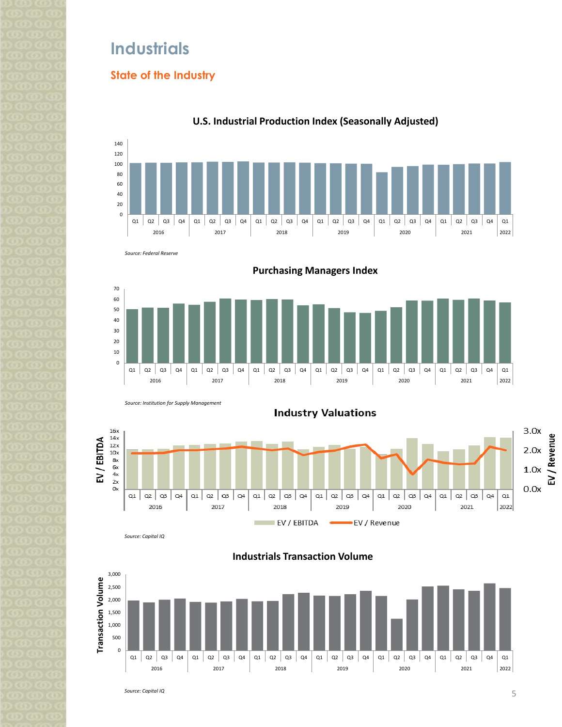## **Industrials**

### **State of the Industry**



### **U.S. Industrial Production Index (Seasonally Adjusted)**







*Source: Capital IQ*

**Industrials Transaction Volume**

 $\overline{\phantom{a}}$ 

EV / Revenue

EV / EBITDA



*Source: Capital IQ*

EV / Revenue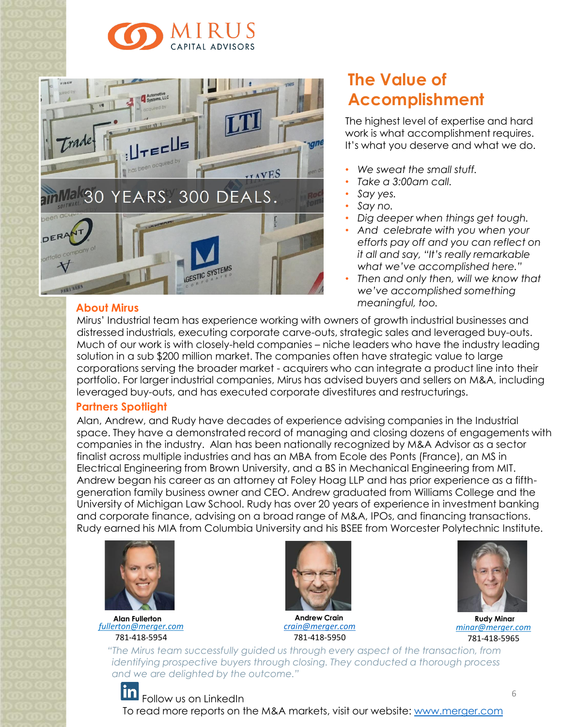



### **About Mirus**

## **The Value of Accomplishment**

The highest level of expertise and hard work is what accomplishment requires. It's what you deserve and what we do.

- *We sweat the small stuff.*
- *Take a 3:00am call.*
- *Say yes.*
- *Say no.*
- *Dig deeper when things get tough.*
- *And celebrate with you when your efforts pay off and you can reflect on it all and say, "It's really remarkable what we've accomplished here."*
- *Then and only then, will we know that we've accomplished something meaningful, too.*

Mirus' Industrial team has experience working with owners of growth industrial businesses and distressed industrials, executing corporate carve-outs, strategic sales and leveraged buy-outs. Much of our work is with closely-held companies – niche leaders who have the industry leading solution in a sub \$200 million market. The companies often have strategic value to large corporations serving the broader market - acquirers who can integrate a product line into their portfolio. For larger industrial companies, Mirus has advised buyers and sellers on M&A, including leveraged buy-outs, and has executed corporate divestitures and restructurings.

### **Partners Spotlight**

Alan, Andrew, and Rudy have decades of experience advising companies in the Industrial space. They have a demonstrated record of managing and closing dozens of engagements with companies in the industry. Alan has been nationally recognized by M&A Advisor as a sector finalist across multiple industries and has an MBA from Ecole des Ponts (France), an MS in Electrical Engineering from Brown University, and a BS in Mechanical Engineering from MIT. Andrew began his career as an attorney at Foley Hoag LLP and has prior experience as a fifthgeneration family business owner and CEO. Andrew graduated from Williams College and the University of Michigan Law School. Rudy has over 20 years of experience in investment banking and corporate finance, advising on a broad range of M&A, IPOs, and financing transactions. Rudy earned his MIA from Columbia University and his BSEE from Worcester Polytechnic Institute.



**Alan Fullerton** *[fullerton@merger.com](mailto:fullerton@merger.com)* 781-418-5954



*[crain@merger.com](mailto:crain@merger.com)* 781-418-5950



**Rudy Minar** *minar@merger.com* 781-418-5965

*"The Mirus team successfully guided us through every aspect of the transaction, from identifying prospective buyers through closing. They conducted a thorough process and we are delighted by the outcome."*

#### lin Follow us on LinkedIn To read more reports on the M&A markets, visit our website: [www.merger.com](http://www.merger.com/)